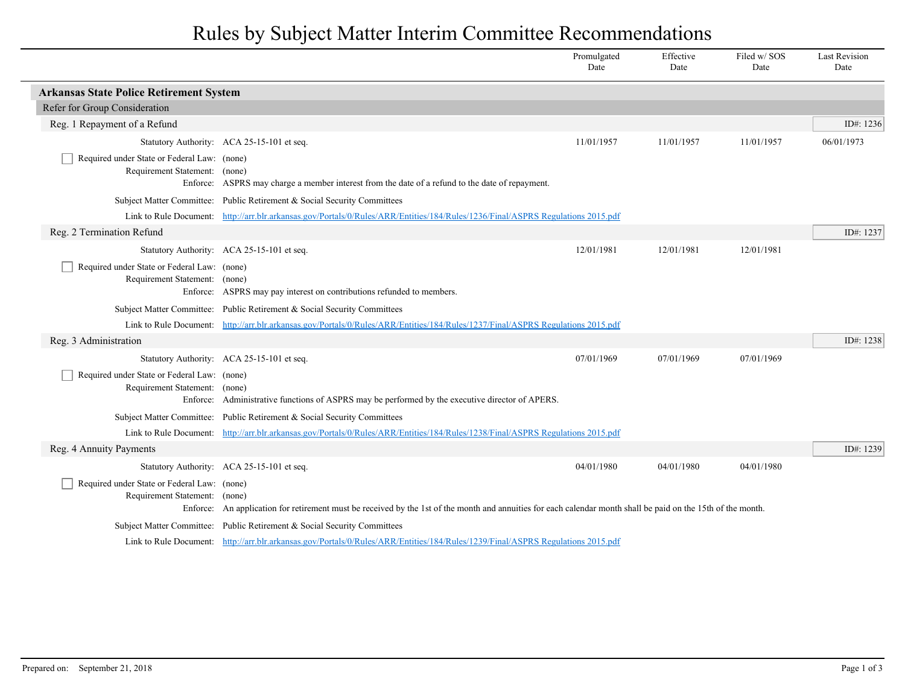## Rules by Subject Matter Interim Committee Recommendations

|                                                                                          |                                                                                                                                                                         | Promulgated<br>Date | Effective<br>Date | Filed w/SOS<br>Date | <b>Last Revision</b><br>Date |
|------------------------------------------------------------------------------------------|-------------------------------------------------------------------------------------------------------------------------------------------------------------------------|---------------------|-------------------|---------------------|------------------------------|
| <b>Arkansas State Police Retirement System</b>                                           |                                                                                                                                                                         |                     |                   |                     |                              |
| Refer for Group Consideration                                                            |                                                                                                                                                                         |                     |                   |                     |                              |
| Reg. 1 Repayment of a Refund                                                             |                                                                                                                                                                         |                     |                   |                     | ID#: 1236                    |
|                                                                                          | Statutory Authority: ACA 25-15-101 et seq.                                                                                                                              | 11/01/1957          | 11/01/1957        | 11/01/1957          | 06/01/1973                   |
| Required under State or Federal Law: (none)<br>Requirement Statement: (none)             | Enforce: ASPRS may charge a member interest from the date of a refund to the date of repayment.                                                                         |                     |                   |                     |                              |
|                                                                                          | Subject Matter Committee: Public Retirement & Social Security Committees                                                                                                |                     |                   |                     |                              |
|                                                                                          | Link to Rule Document: http://arr.blr.arkansas.gov/Portals/0/Rules/ARR/Entities/184/Rules/1236/Final/ASPRS Regulations 2015.pdf                                         |                     |                   |                     |                              |
| Reg. 2 Termination Refund                                                                |                                                                                                                                                                         |                     |                   |                     | ID#: 1237                    |
|                                                                                          | Statutory Authority: ACA 25-15-101 et seq.                                                                                                                              | 12/01/1981          | 12/01/1981        | 12/01/1981          |                              |
| Required under State or Federal Law: (none)<br>Requirement Statement: (none)             | Enforce: ASPRS may pay interest on contributions refunded to members.                                                                                                   |                     |                   |                     |                              |
|                                                                                          | Subject Matter Committee: Public Retirement & Social Security Committees                                                                                                |                     |                   |                     |                              |
|                                                                                          | Link to Rule Document: http://arr.blr.arkansas.gov/Portals/0/Rules/ARR/Entities/184/Rules/1237/Final/ASPRS Regulations 2015.pdf                                         |                     |                   |                     |                              |
| Reg. 3 Administration                                                                    |                                                                                                                                                                         |                     |                   |                     | ID#: 1238                    |
|                                                                                          | Statutory Authority: ACA 25-15-101 et seq.                                                                                                                              | 07/01/1969          | 07/01/1969        | 07/01/1969          |                              |
| Required under State or Federal Law: (none)<br>Requirement Statement: (none)<br>Enforce: | Administrative functions of ASPRS may be performed by the executive director of APERS.                                                                                  |                     |                   |                     |                              |
|                                                                                          | Subject Matter Committee: Public Retirement & Social Security Committees                                                                                                |                     |                   |                     |                              |
|                                                                                          | Link to Rule Document: http://arr.blr.arkansas.gov/Portals/0/Rules/ARR/Entities/184/Rules/1238/Final/ASPRS Regulations 2015.pdf                                         |                     |                   |                     |                              |
| Reg. 4 Annuity Payments                                                                  |                                                                                                                                                                         |                     |                   |                     | ID#: 1239                    |
|                                                                                          | Statutory Authority: ACA 25-15-101 et seq.                                                                                                                              | 04/01/1980          | 04/01/1980        | 04/01/1980          |                              |
| Required under State or Federal Law: (none)<br>Requirement Statement:                    | (none)<br>Enforce: An application for retirement must be received by the 1st of the month and annuities for each calendar month shall be paid on the 15th of the month. |                     |                   |                     |                              |
|                                                                                          | Subject Matter Committee: Public Retirement & Social Security Committees                                                                                                |                     |                   |                     |                              |
|                                                                                          | Link to Rule Document: http://arr.blr.arkansas.gov/Portals/0/Rules/ARR/Entities/184/Rules/1239/Final/ASPRS Regulations 2015.pdf                                         |                     |                   |                     |                              |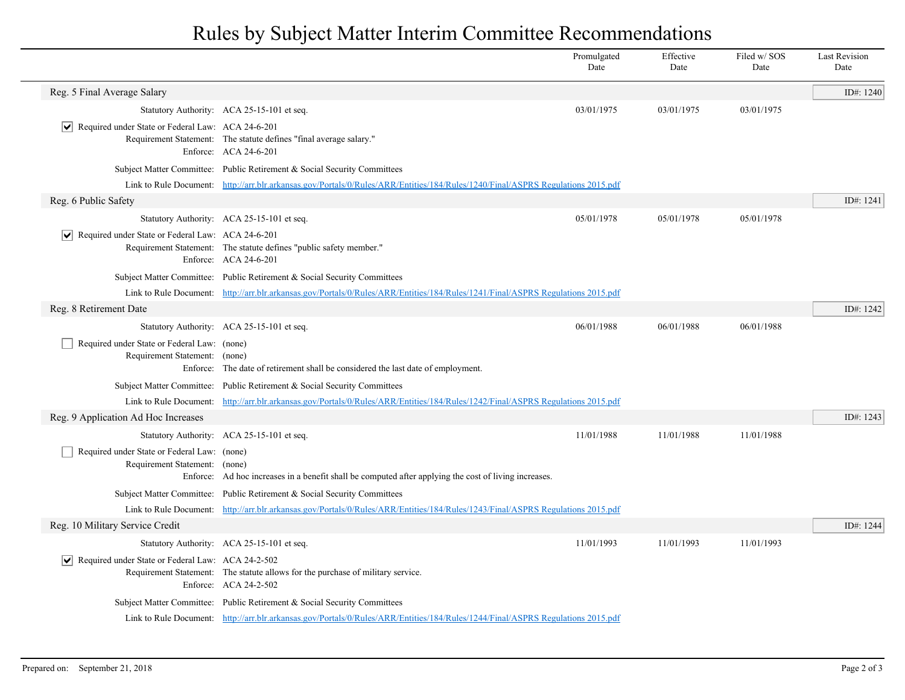## Rules by Subject Matter Interim Committee Recommendations

|                                                                              |                                                                                                                                 | Promulgated<br>Date | Effective<br>Date | Filed w/SOS<br>Date | <b>Last Revision</b><br>Date |
|------------------------------------------------------------------------------|---------------------------------------------------------------------------------------------------------------------------------|---------------------|-------------------|---------------------|------------------------------|
| Reg. 5 Final Average Salary                                                  |                                                                                                                                 |                     |                   |                     | ID#: 1240                    |
|                                                                              | Statutory Authority: ACA 25-15-101 et seq.                                                                                      | 03/01/1975          | 03/01/1975        | 03/01/1975          |                              |
| $ \mathbf{v} $ Required under State or Federal Law: ACA 24-6-201             | Requirement Statement: The statute defines "final average salary."<br>Enforce: ACA 24-6-201                                     |                     |                   |                     |                              |
|                                                                              | Subject Matter Committee: Public Retirement & Social Security Committees                                                        |                     |                   |                     |                              |
|                                                                              | Link to Rule Document: http://arr.blr.arkansas.gov/Portals/0/Rules/ARR/Entities/184/Rules/1240/Final/ASPRS Regulations 2015.pdf |                     |                   |                     |                              |
| Reg. 6 Public Safety                                                         |                                                                                                                                 |                     |                   |                     | ID#: 1241                    |
|                                                                              | Statutory Authority: ACA 25-15-101 et seq.                                                                                      | 05/01/1978          | 05/01/1978        | 05/01/1978          |                              |
| $ \mathbf{v} $ Required under State or Federal Law: ACA 24-6-201             | Requirement Statement: The statute defines "public safety member."<br>Enforce: ACA 24-6-201                                     |                     |                   |                     |                              |
|                                                                              | Subject Matter Committee: Public Retirement & Social Security Committees                                                        |                     |                   |                     |                              |
|                                                                              | Link to Rule Document: http://arr.blr.arkansas.gov/Portals/0/Rules/ARR/Entities/184/Rules/1241/Final/ASPRS Regulations 2015.pdf |                     |                   |                     |                              |
| Reg. 8 Retirement Date                                                       |                                                                                                                                 |                     |                   |                     | ID#: 1242                    |
|                                                                              | Statutory Authority: ACA 25-15-101 et seq.                                                                                      | 06/01/1988          | 06/01/1988        | 06/01/1988          |                              |
| Required under State or Federal Law: (none)<br>Requirement Statement: (none) | Enforce: The date of retirement shall be considered the last date of employment.                                                |                     |                   |                     |                              |
|                                                                              | Subject Matter Committee: Public Retirement & Social Security Committees                                                        |                     |                   |                     |                              |
|                                                                              | Link to Rule Document: http://arr.blr.arkansas.gov/Portals/0/Rules/ARR/Entities/184/Rules/1242/Final/ASPRS Regulations 2015.pdf |                     |                   |                     |                              |
| Reg. 9 Application Ad Hoc Increases                                          |                                                                                                                                 |                     |                   |                     | ID#: 1243                    |
|                                                                              | Statutory Authority: ACA 25-15-101 et seq.                                                                                      | 11/01/1988          | 11/01/1988        | 11/01/1988          |                              |
| Required under State or Federal Law: (none)<br>Requirement Statement: (none) | Enforce: Ad hoc increases in a benefit shall be computed after applying the cost of living increases.                           |                     |                   |                     |                              |
|                                                                              | Subject Matter Committee: Public Retirement & Social Security Committees                                                        |                     |                   |                     |                              |
|                                                                              | Link to Rule Document: http://arr.blr.arkansas.gov/Portals/0/Rules/ARR/Entities/184/Rules/1243/Final/ASPRS Regulations 2015.pdf |                     |                   |                     |                              |
| Reg. 10 Military Service Credit                                              |                                                                                                                                 |                     |                   |                     | ID#: 1244                    |
|                                                                              | Statutory Authority: ACA 25-15-101 et seq.                                                                                      | 11/01/1993          | 11/01/1993        | 11/01/1993          |                              |
| $\triangleright$ Required under State or Federal Law: ACA 24-2-502           | Requirement Statement: The statute allows for the purchase of military service.<br>Enforce: ACA 24-2-502                        |                     |                   |                     |                              |
|                                                                              | Subject Matter Committee: Public Retirement & Social Security Committees                                                        |                     |                   |                     |                              |
|                                                                              | Link to Rule Document: http://arr.blr.arkansas.gov/Portals/0/Rules/ARR/Entities/184/Rules/1244/Final/ASPRS Regulations 2015.pdf |                     |                   |                     |                              |